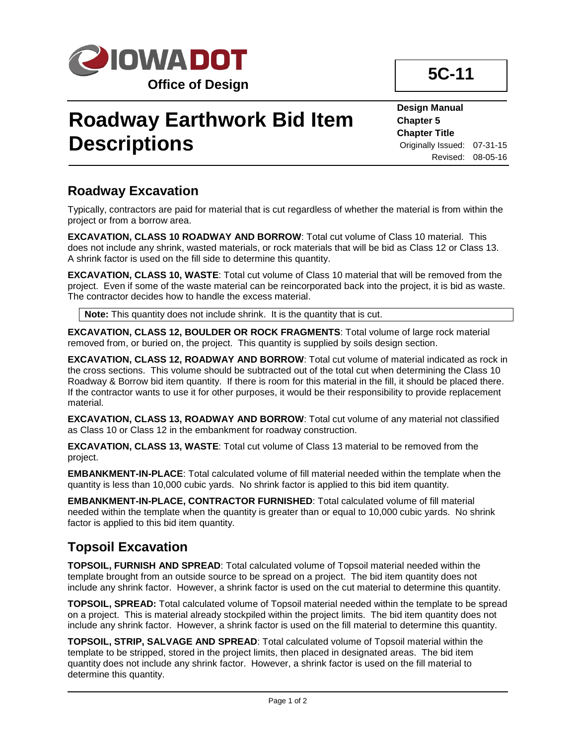

# **Roadway Earthwork Bid Item Descriptions**

**Design Manual Chapter 5 Chapter Title** Originally Issued: 07-31-15 Revised: 08-05-16

#### **Roadway Excavation**

Typically, contractors are paid for material that is cut regardless of whether the material is from within the project or from a borrow area.

**EXCAVATION, CLASS 10 ROADWAY AND BORROW**: Total cut volume of Class 10 material. This does not include any shrink, wasted materials, or rock materials that will be bid as Class 12 or Class 13. A shrink factor is used on the fill side to determine this quantity.

**EXCAVATION, CLASS 10, WASTE**: Total cut volume of Class 10 material that will be removed from the project. Even if some of the waste material can be reincorporated back into the project, it is bid as waste. The contractor decides how to handle the excess material.

**Note:** This quantity does not include shrink. It is the quantity that is cut.

**EXCAVATION, CLASS 12, BOULDER OR ROCK FRAGMENTS**: Total volume of large rock material removed from, or buried on, the project. This quantity is supplied by soils design section.

**EXCAVATION, CLASS 12, ROADWAY AND BORROW**: Total cut volume of material indicated as rock in the cross sections. This volume should be subtracted out of the total cut when determining the Class 10 Roadway & Borrow bid item quantity. If there is room for this material in the fill, it should be placed there. If the contractor wants to use it for other purposes, it would be their responsibility to provide replacement material.

**EXCAVATION, CLASS 13, ROADWAY AND BORROW**: Total cut volume of any material not classified as Class 10 or Class 12 in the embankment for roadway construction.

**EXCAVATION, CLASS 13, WASTE**: Total cut volume of Class 13 material to be removed from the project.

**EMBANKMENT-IN-PLACE**: Total calculated volume of fill material needed within the template when the quantity is less than 10,000 cubic yards. No shrink factor is applied to this bid item quantity.

**EMBANKMENT-IN-PLACE, CONTRACTOR FURNISHED**: Total calculated volume of fill material needed within the template when the quantity is greater than or equal to 10,000 cubic yards. No shrink factor is applied to this bid item quantity.

### **Topsoil Excavation**

**TOPSOIL, FURNISH AND SPREAD**: Total calculated volume of Topsoil material needed within the template brought from an outside source to be spread on a project. The bid item quantity does not include any shrink factor. However, a shrink factor is used on the cut material to determine this quantity.

**TOPSOIL, SPREAD:** Total calculated volume of Topsoil material needed within the template to be spread on a project. This is material already stockpiled within the project limits. The bid item quantity does not include any shrink factor. However, a shrink factor is used on the fill material to determine this quantity.

**TOPSOIL, STRIP, SALVAGE AND SPREAD**: Total calculated volume of Topsoil material within the template to be stripped, stored in the project limits, then placed in designated areas. The bid item quantity does not include any shrink factor. However, a shrink factor is used on the fill material to determine this quantity.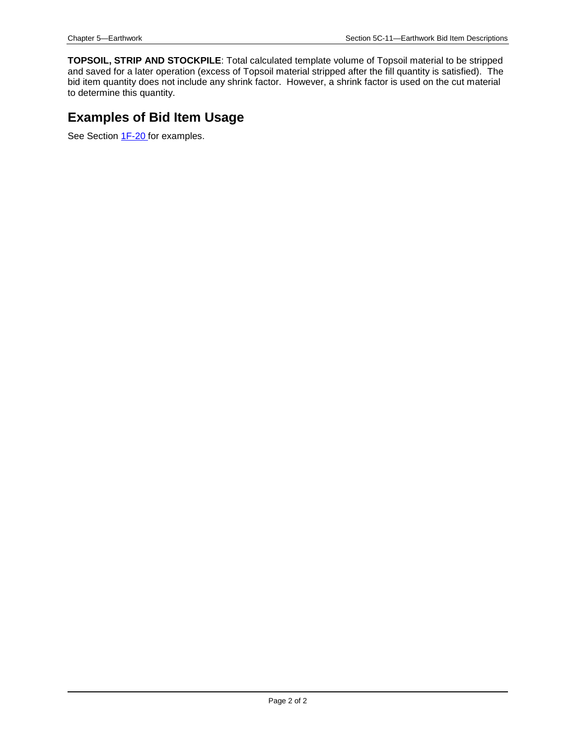**TOPSOIL, STRIP AND STOCKPILE**: Total calculated template volume of Topsoil material to be stripped and saved for a later operation (excess of Topsoil material stripped after the fill quantity is satisfied). The bid item quantity does not include any shrink factor. However, a shrink factor is used on the cut material to determine this quantity.

## **Examples of Bid Item Usage**

See Section 1F-20 for examples.